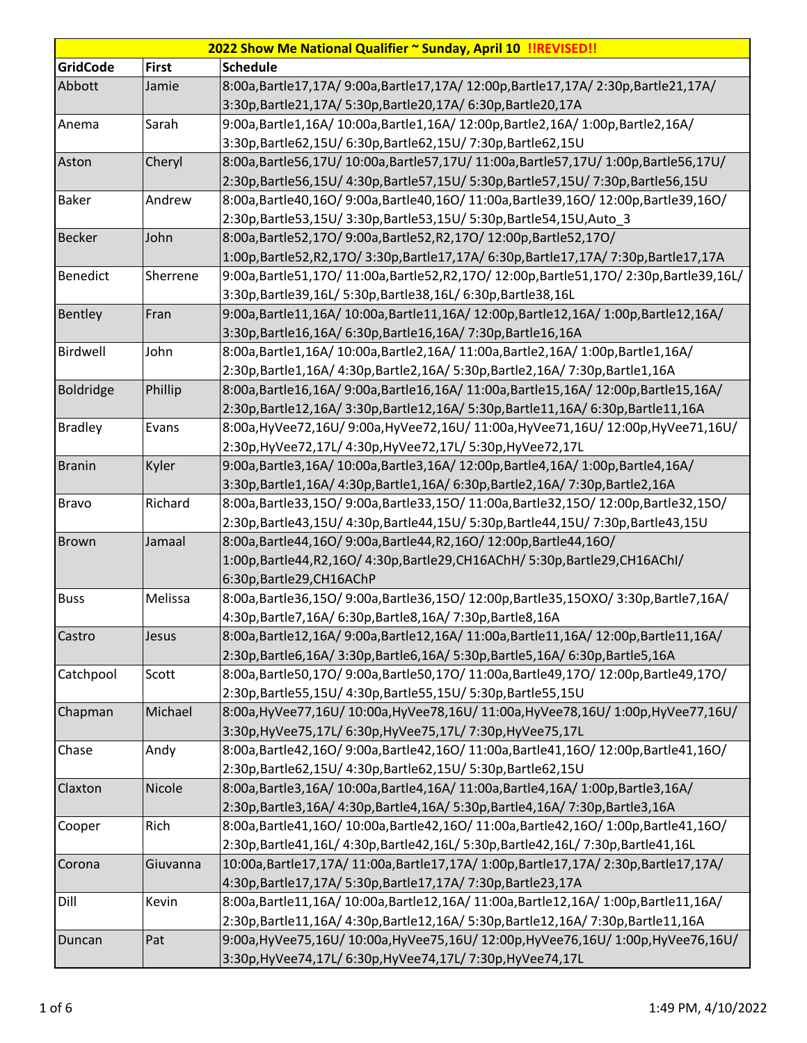| 2022 Show Me National Qualifier ~ Sunday, April 10 !!REVISED!! |              |                                                                                                                                           |  |
|----------------------------------------------------------------|--------------|-------------------------------------------------------------------------------------------------------------------------------------------|--|
| <b>GridCode</b>                                                | <b>First</b> | <b>Schedule</b>                                                                                                                           |  |
| Abbott                                                         | Jamie        | 8:00a,Bartle17,17A/9:00a,Bartle17,17A/12:00p,Bartle17,17A/2:30p,Bartle21,17A/                                                             |  |
|                                                                |              | 3:30p,Bartle21,17A/ 5:30p,Bartle20,17A/ 6:30p,Bartle20,17A                                                                                |  |
| Anema                                                          | Sarah        | 9:00a,Bartle1,16A/10:00a,Bartle1,16A/12:00p,Bartle2,16A/1:00p,Bartle2,16A/                                                                |  |
|                                                                |              | 3:30p,Bartle62,15U/ 6:30p,Bartle62,15U/ 7:30p,Bartle62,15U                                                                                |  |
| Aston                                                          | Cheryl       | 8:00a,Bartle56,17U/10:00a,Bartle57,17U/11:00a,Bartle57,17U/1:00p,Bartle56,17U/                                                            |  |
|                                                                |              | 2:30p,Bartle56,15U/ 4:30p,Bartle57,15U/ 5:30p,Bartle57,15U/ 7:30p,Bartle56,15U                                                            |  |
| <b>Baker</b>                                                   | Andrew       | 8:00a,Bartle40,16O/9:00a,Bartle40,16O/11:00a,Bartle39,16O/12:00p,Bartle39,16O/                                                            |  |
|                                                                |              | 2:30p, Bartle 53, 15U/ 3:30p, Bartle 53, 15U/ 5:30p, Bartle 54, 15U, Auto_3                                                               |  |
| <b>Becker</b>                                                  | John         | 8:00a, Bartle52, 170/ 9:00a, Bartle52, R2, 170/ 12:00p, Bartle52, 170/                                                                    |  |
|                                                                |              | 1:00p,Bartle52,R2,17O/3:30p,Bartle17,17A/6:30p,Bartle17,17A/7:30p,Bartle17,17A                                                            |  |
| <b>Benedict</b>                                                | Sherrene     | 9:00a,Bartle51,17O/11:00a,Bartle52,R2,17O/12:00p,Bartle51,17O/2:30p,Bartle39,16L/                                                         |  |
|                                                                |              | 3:30p,Bartle39,16L/ 5:30p,Bartle38,16L/ 6:30p,Bartle38,16L                                                                                |  |
| Bentley                                                        | Fran         | 9:00a, Bartle11, 16A/10:00a, Bartle11, 16A/12:00p, Bartle12, 16A/1:00p, Bartle12, 16A/                                                    |  |
|                                                                |              | 3:30p, Bartle 16, 16A/ 6:30p, Bartle 16, 16A/ 7:30p, Bartle 16, 16A                                                                       |  |
| Birdwell                                                       | John         | 8:00a,Bartle1,16A/10:00a,Bartle2,16A/11:00a,Bartle2,16A/1:00p,Bartle1,16A/                                                                |  |
|                                                                |              | 2:30p,Bartle1,16A/ 4:30p,Bartle2,16A/ 5:30p,Bartle2,16A/ 7:30p,Bartle1,16A                                                                |  |
| Boldridge                                                      | Phillip      | 8:00a,Bartle16,16A/9:00a,Bartle16,16A/11:00a,Bartle15,16A/12:00p,Bartle15,16A/                                                            |  |
|                                                                |              | 2:30p,Bartle12,16A/3:30p,Bartle12,16A/5:30p,Bartle11,16A/6:30p,Bartle11,16A                                                               |  |
| <b>Bradley</b>                                                 | Evans        | 8:00a, HyVee72,16U/9:00a, HyVee72,16U/11:00a, HyVee71,16U/12:00p, HyVee71,16U/                                                            |  |
|                                                                |              | 2:30p, HyVee72, 17L/ 4:30p, HyVee72, 17L/ 5:30p, HyVee72, 17L                                                                             |  |
| <b>Branin</b>                                                  | Kyler        | 9:00a, Bartle3, 16A/ 10:00a, Bartle3, 16A/ 12:00p, Bartle4, 16A/ 1:00p, Bartle4, 16A/                                                     |  |
|                                                                |              | 3:30p,Bartle1,16A/ 4:30p,Bartle1,16A/ 6:30p,Bartle2,16A/ 7:30p,Bartle2,16A                                                                |  |
| <b>Bravo</b>                                                   | Richard      | 8:00a,Bartle33,15O/9:00a,Bartle33,15O/11:00a,Bartle32,15O/12:00p,Bartle32,15O/                                                            |  |
|                                                                |              | 2:30p,Bartle43,15U/4:30p,Bartle44,15U/5:30p,Bartle44,15U/7:30p,Bartle43,15U                                                               |  |
| <b>Brown</b>                                                   | Jamaal       | 8:00a, Bartle44, 16O/ 9:00a, Bartle44, R2, 16O/ 12:00p, Bartle44, 16O/                                                                    |  |
|                                                                |              | 1:00p,Bartle44,R2,16O/ 4:30p,Bartle29,CH16AChH/ 5:30p,Bartle29,CH16AChI/                                                                  |  |
|                                                                |              | 6:30p, Bartle 29, CH16AChP                                                                                                                |  |
| <b>Buss</b>                                                    | Melissa      | 8:00a,Bartle36,15O/9:00a,Bartle36,15O/12:00p,Bartle35,15OXO/3:30p,Bartle7,16A/                                                            |  |
|                                                                |              | 4:30p,Bartle7,16A/ 6:30p,Bartle8,16A/ 7:30p,Bartle8,16A<br>8:00a,Bartle12,16A/9:00a,Bartle12,16A/11:00a,Bartle11,16A/12:00p,Bartle11,16A/ |  |
| Castro                                                         | Jesus        | 2:30p,Bartle6,16A/ 3:30p,Bartle6,16A/ 5:30p,Bartle5,16A/ 6:30p,Bartle5,16A                                                                |  |
| Catchpool                                                      | Scott        | 8:00a,Bartle50,17O/9:00a,Bartle50,17O/11:00a,Bartle49,17O/12:00p,Bartle49,17O/                                                            |  |
|                                                                |              | 2:30p,Bartle55,15U/ 4:30p,Bartle55,15U/ 5:30p,Bartle55,15U                                                                                |  |
| Chapman                                                        | Michael      | 8:00a, HyVee77,16U/10:00a, HyVee78,16U/11:00a, HyVee78,16U/1:00p, HyVee77,16U/                                                            |  |
|                                                                |              | 3:30p, HyVee75, 17L/ 6:30p, HyVee75, 17L/ 7:30p, HyVee75, 17L                                                                             |  |
| Chase                                                          | Andy         | 8:00a,Bartle42,16O/9:00a,Bartle42,16O/11:00a,Bartle41,16O/12:00p,Bartle41,16O/                                                            |  |
|                                                                |              | 2:30p,Bartle62,15U/ 4:30p,Bartle62,15U/ 5:30p,Bartle62,15U                                                                                |  |
| Claxton                                                        | Nicole       | 8:00a,Bartle3,16A/10:00a,Bartle4,16A/11:00a,Bartle4,16A/1:00p,Bartle3,16A/                                                                |  |
|                                                                |              | 2:30p,Bartle3,16A/ 4:30p,Bartle4,16A/ 5:30p,Bartle4,16A/ 7:30p,Bartle3,16A                                                                |  |
| Cooper                                                         | Rich         | 8:00a,Bartle41,16O/10:00a,Bartle42,16O/11:00a,Bartle42,16O/1:00p,Bartle41,16O/                                                            |  |
|                                                                |              | 2:30p,Bartle41,16L/4:30p,Bartle42,16L/5:30p,Bartle42,16L/7:30p,Bartle41,16L                                                               |  |
| Corona                                                         | Giuvanna     | 10:00a,Bartle17,17A/ 11:00a,Bartle17,17A/ 1:00p,Bartle17,17A/ 2:30p,Bartle17,17A/                                                         |  |
|                                                                |              | 4:30p,Bartle17,17A/ 5:30p,Bartle17,17A/ 7:30p,Bartle23,17A                                                                                |  |
| Dill                                                           | Kevin        | 8:00a,Bartle11,16A/10:00a,Bartle12,16A/11:00a,Bartle12,16A/1:00p,Bartle11,16A/                                                            |  |
|                                                                |              | 2:30p,Bartle11,16A/ 4:30p,Bartle12,16A/ 5:30p,Bartle12,16A/ 7:30p,Bartle11,16A                                                            |  |
| Duncan                                                         | Pat          | 9:00a, HyVee75,16U/10:00a, HyVee75,16U/12:00p, HyVee76,16U/1:00p, HyVee76,16U/                                                            |  |
|                                                                |              | 3:30p, HyVee74, 17L/ 6:30p, HyVee74, 17L/ 7:30p, HyVee74, 17L                                                                             |  |
|                                                                |              |                                                                                                                                           |  |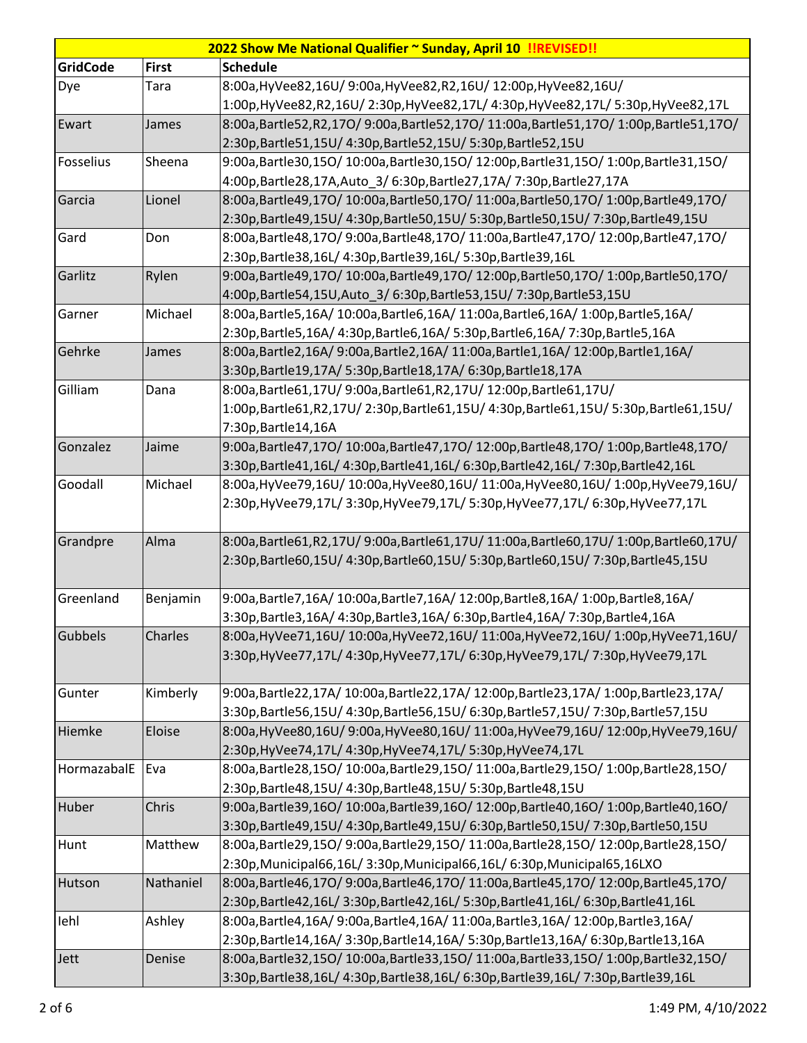| 2022 Show Me National Qualifier ~ Sunday, April 10 !!REVISED!! |              |                                                                                        |  |
|----------------------------------------------------------------|--------------|----------------------------------------------------------------------------------------|--|
| <b>GridCode</b>                                                | <b>First</b> | <b>Schedule</b>                                                                        |  |
| Dye                                                            | Tara         | 8:00a, HyVee82, 16U/ 9:00a, HyVee82, R2, 16U/ 12:00p, HyVee82, 16U/                    |  |
|                                                                |              | 1:00p,HyVee82,R2,16U/2:30p,HyVee82,17L/4:30p,HyVee82,17L/5:30p,HyVee82,17L             |  |
| Ewart                                                          | James        | 8:00a,Bartle52,R2,17O/9:00a,Bartle52,17O/11:00a,Bartle51,17O/1:00p,Bartle51,17O/       |  |
|                                                                |              | 2:30p,Bartle51,15U/ 4:30p,Bartle52,15U/ 5:30p,Bartle52,15U                             |  |
| Fosselius                                                      | Sheena       | 9:00a,Bartle30,15O/10:00a,Bartle30,15O/12:00p,Bartle31,15O/1:00p,Bartle31,15O/         |  |
|                                                                |              | 4:00p, Bartle 28, 17A, Auto_3/ 6:30p, Bartle 27, 17A / 7:30p, Bartle 27, 17A           |  |
| Garcia                                                         | Lionel       | 8:00a,Bartle49,17O/10:00a,Bartle50,17O/11:00a,Bartle50,17O/1:00p,Bartle49,17O/         |  |
|                                                                |              | 2:30p,Bartle49,15U/4:30p,Bartle50,15U/5:30p,Bartle50,15U/7:30p,Bartle49,15U            |  |
| Gard                                                           | Don          | 8:00a,Bartle48,17O/9:00a,Bartle48,17O/11:00a,Bartle47,17O/12:00p,Bartle47,17O/         |  |
|                                                                |              | 2:30p, Bartle 38, 16L/ 4:30p, Bartle 39, 16L/ 5:30p, Bartle 39, 16L                    |  |
| Garlitz                                                        | Rylen        | 9:00a,Bartle49,17O/10:00a,Bartle49,17O/12:00p,Bartle50,17O/1:00p,Bartle50,17O/         |  |
|                                                                |              | 4:00p,Bartle54,15U,Auto_3/ 6:30p,Bartle53,15U/ 7:30p,Bartle53,15U                      |  |
| Garner                                                         | Michael      | 8:00a,Bartle5,16A/10:00a,Bartle6,16A/11:00a,Bartle6,16A/1:00p,Bartle5,16A/             |  |
|                                                                |              | 2:30p,Bartle5,16A/ 4:30p,Bartle6,16A/ 5:30p,Bartle6,16A/ 7:30p,Bartle5,16A             |  |
| Gehrke                                                         | James        | 8:00a,Bartle2,16A/ 9:00a,Bartle2,16A/ 11:00a,Bartle1,16A/ 12:00p,Bartle1,16A/          |  |
|                                                                |              | 3:30p, Bartle 19, 17A/ 5:30p, Bartle 18, 17A/ 6:30p, Bartle 18, 17A                    |  |
| Gilliam                                                        | Dana         | 8:00a, Bartle61, 17U/ 9:00a, Bartle61, R2, 17U/ 12:00p, Bartle61, 17U/                 |  |
|                                                                |              | 1:00p,Bartle61,R2,17U/2:30p,Bartle61,15U/4:30p,Bartle61,15U/5:30p,Bartle61,15U/        |  |
|                                                                |              | 7:30p, Bartle 14, 16A                                                                  |  |
| Gonzalez                                                       | Jaime        | 9:00a,Bartle47,17O/10:00a,Bartle47,17O/12:00p,Bartle48,17O/1:00p,Bartle48,17O/         |  |
|                                                                |              | 3:30p,Bartle41,16L/ 4:30p,Bartle41,16L/ 6:30p,Bartle42,16L/ 7:30p,Bartle42,16L         |  |
| Goodall                                                        | Michael      | 8:00a, HyVee79,16U/10:00a, HyVee80,16U/11:00a, HyVee80,16U/1:00p, HyVee79,16U/         |  |
|                                                                |              | 2:30p,HyVee79,17L/ 3:30p,HyVee79,17L/ 5:30p,HyVee77,17L/ 6:30p,HyVee77,17L             |  |
|                                                                |              |                                                                                        |  |
| Grandpre                                                       | Alma         | 8:00a,Bartle61,R2,17U/9:00a,Bartle61,17U/11:00a,Bartle60,17U/1:00p,Bartle60,17U/       |  |
|                                                                |              | 2:30p,Bartle60,15U/4:30p,Bartle60,15U/5:30p,Bartle60,15U/7:30p,Bartle45,15U            |  |
|                                                                |              |                                                                                        |  |
| Greenland                                                      | Benjamin     | 9:00a,Bartle7,16A/10:00a,Bartle7,16A/12:00p,Bartle8,16A/1:00p,Bartle8,16A/             |  |
|                                                                |              | 3:30p,Bartle3,16A/ 4:30p,Bartle3,16A/ 6:30p,Bartle4,16A/ 7:30p,Bartle4,16A             |  |
| Gubbels                                                        | Charles      | 8:00a, HyVee71,16U/10:00a, HyVee72,16U/11:00a, HyVee72,16U/1:00p, HyVee71,16U/         |  |
|                                                                |              | 3:30p, HyVee 77, 17L/ 4:30p, HyVee 77, 17L/ 6:30p, HyVee 79, 17L/ 7:30p, HyVee 79, 17L |  |
|                                                                |              |                                                                                        |  |
| Gunter                                                         | Kimberly     | 9:00a,Bartle22,17A/ 10:00a,Bartle22,17A/ 12:00p,Bartle23,17A/ 1:00p,Bartle23,17A/      |  |
|                                                                |              | 3:30p,Bartle56,15U/4:30p,Bartle56,15U/6:30p,Bartle57,15U/7:30p,Bartle57,15U            |  |
| Hiemke                                                         | Eloise       | 8:00a, HyVee80,16U/9:00a, HyVee80,16U/11:00a, HyVee79,16U/12:00p, HyVee79,16U/         |  |
|                                                                |              | 2:30p, HyVee 74, 17L/ 4:30p, HyVee 74, 17L/ 5:30p, HyVee 74, 17L                       |  |
| HormazabalE                                                    | Eva          | 8:00a,Bartle28,15O/10:00a,Bartle29,15O/11:00a,Bartle29,15O/1:00p,Bartle28,15O/         |  |
|                                                                |              | 2:30p,Bartle48,15U/ 4:30p,Bartle48,15U/ 5:30p,Bartle48,15U                             |  |
| Huber                                                          | Chris        | 9:00a,Bartle39,16O/10:00a,Bartle39,16O/12:00p,Bartle40,16O/1:00p,Bartle40,16O/         |  |
|                                                                |              | 3:30p,Bartle49,15U/4:30p,Bartle49,15U/6:30p,Bartle50,15U/7:30p,Bartle50,15U            |  |
| Hunt                                                           | Matthew      | 8:00a,Bartle29,15O/9:00a,Bartle29,15O/11:00a,Bartle28,15O/12:00p,Bartle28,15O/         |  |
|                                                                |              | 2:30p, Municipal66, 16L/3:30p, Municipal66, 16L/6:30p, Municipal65, 16LXO              |  |
| Hutson                                                         | Nathaniel    | 8:00a,Bartle46,17O/9:00a,Bartle46,17O/11:00a,Bartle45,17O/12:00p,Bartle45,17O/         |  |
|                                                                |              | 2:30p,Bartle42,16L/3:30p,Bartle42,16L/5:30p,Bartle41,16L/6:30p,Bartle41,16L            |  |
| lehl                                                           | Ashley       | 8:00a,Bartle4,16A/ 9:00a,Bartle4,16A/ 11:00a,Bartle3,16A/ 12:00p,Bartle3,16A/          |  |
|                                                                |              | 2:30p,Bartle14,16A/ 3:30p,Bartle14,16A/ 5:30p,Bartle13,16A/ 6:30p,Bartle13,16A         |  |
| Jett                                                           | Denise       | 8:00a,Bartle32,15O/10:00a,Bartle33,15O/11:00a,Bartle33,15O/1:00p,Bartle32,15O/         |  |
|                                                                |              | 3:30p,Bartle38,16L/4:30p,Bartle38,16L/6:30p,Bartle39,16L/7:30p,Bartle39,16L            |  |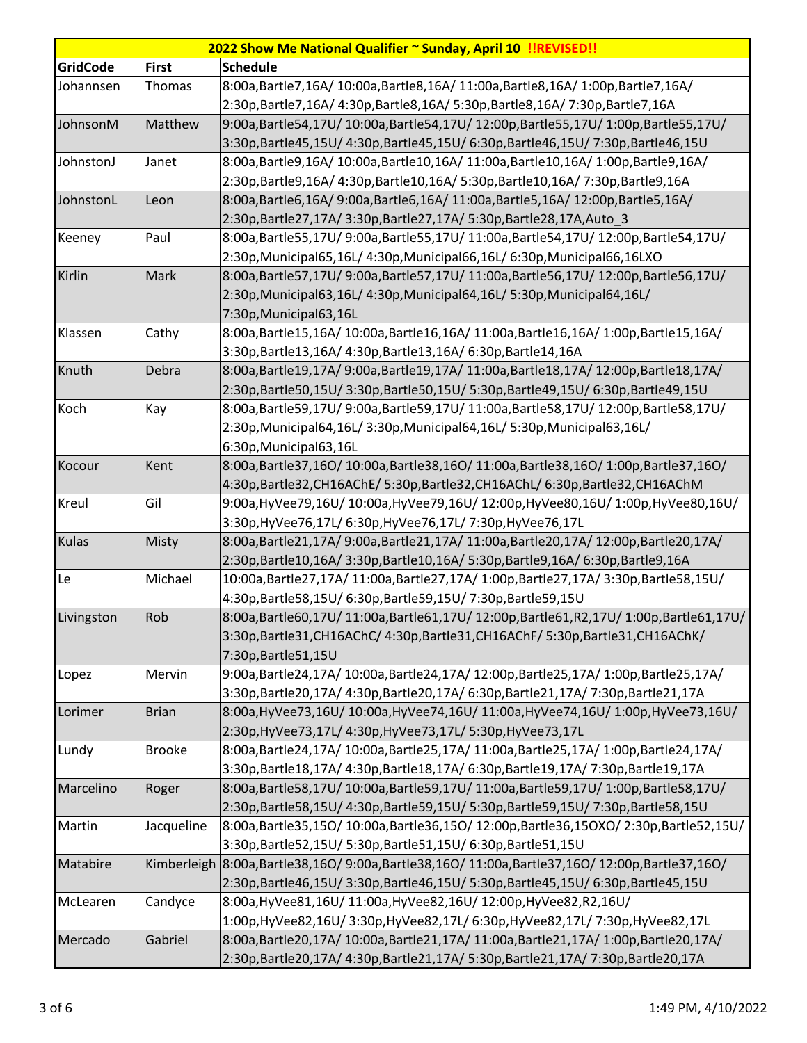| 2022 Show Me National Qualifier ~ Sunday, April 10 !!REVISED!! |               |                                                                                                       |  |
|----------------------------------------------------------------|---------------|-------------------------------------------------------------------------------------------------------|--|
| GridCode                                                       | <b>First</b>  | <b>Schedule</b>                                                                                       |  |
| Johannsen                                                      | Thomas        | 8:00a,Bartle7,16A/10:00a,Bartle8,16A/11:00a,Bartle8,16A/1:00p,Bartle7,16A/                            |  |
|                                                                |               | 2:30p,Bartle7,16A/ 4:30p,Bartle8,16A/ 5:30p,Bartle8,16A/ 7:30p,Bartle7,16A                            |  |
| JohnsonM                                                       | Matthew       | 9:00a,Bartle54,17U/10:00a,Bartle54,17U/12:00p,Bartle55,17U/1:00p,Bartle55,17U/                        |  |
|                                                                |               | 3:30p,Bartle45,15U/4:30p,Bartle45,15U/6:30p,Bartle46,15U/7:30p,Bartle46,15U                           |  |
| JohnstonJ                                                      | Janet         | 8:00a,Bartle9,16A/10:00a,Bartle10,16A/11:00a,Bartle10,16A/1:00p,Bartle9,16A/                          |  |
|                                                                |               | 2:30p,Bartle9,16A/ 4:30p,Bartle10,16A/ 5:30p,Bartle10,16A/ 7:30p,Bartle9,16A                          |  |
| JohnstonL                                                      | Leon          | 8:00a,Bartle6,16A/9:00a,Bartle6,16A/11:00a,Bartle5,16A/12:00p,Bartle5,16A/                            |  |
|                                                                |               | 2:30p, Bartle 27, 17A/ 3:30p, Bartle 27, 17A/ 5:30p, Bartle 28, 17A, Auto_3                           |  |
| Keeney                                                         | Paul          | 8:00a,Bartle55,17U/9:00a,Bartle55,17U/11:00a,Bartle54,17U/12:00p,Bartle54,17U/                        |  |
|                                                                |               | 2:30p, Municipal65, 16L/4:30p, Municipal66, 16L/6:30p, Municipal66, 16LXO                             |  |
| Kirlin                                                         | Mark          | 8:00a,Bartle57,17U/9:00a,Bartle57,17U/11:00a,Bartle56,17U/12:00p,Bartle56,17U/                        |  |
|                                                                |               | 2:30p, Municipal63, 16L/4:30p, Municipal64, 16L/5:30p, Municipal64, 16L/                              |  |
|                                                                |               | 7:30p, Municipal63, 16L                                                                               |  |
| Klassen                                                        | Cathy         | 8:00a,Bartle15,16A/10:00a,Bartle16,16A/11:00a,Bartle16,16A/1:00p,Bartle15,16A/                        |  |
|                                                                |               | 3:30p, Bartle 13, 16A/ 4:30p, Bartle 13, 16A/ 6:30p, Bartle 14, 16A                                   |  |
| Knuth                                                          | Debra         | 8:00a,Bartle19,17A/9:00a,Bartle19,17A/11:00a,Bartle18,17A/12:00p,Bartle18,17A/                        |  |
|                                                                |               | 2:30p,Bartle50,15U/3:30p,Bartle50,15U/5:30p,Bartle49,15U/6:30p,Bartle49,15U                           |  |
| Koch                                                           | Kay           | 8:00a,Bartle59,17U/9:00a,Bartle59,17U/11:00a,Bartle58,17U/12:00p,Bartle58,17U/                        |  |
|                                                                |               | 2:30p, Municipal64, 16L/3:30p, Municipal64, 16L/5:30p, Municipal63, 16L/                              |  |
|                                                                |               | 6:30p, Municipal63, 16L                                                                               |  |
| Kocour                                                         | Kent          | 8:00a,Bartle37,16O/10:00a,Bartle38,16O/11:00a,Bartle38,16O/1:00p,Bartle37,16O/                        |  |
|                                                                |               | 4:30p,Bartle32,CH16AChE/ 5:30p,Bartle32,CH16AChL/ 6:30p,Bartle32,CH16AChM                             |  |
| Kreul                                                          | Gil           | 9:00a, HyVee79,16U/10:00a, HyVee79,16U/12:00p, HyVee80,16U/1:00p, HyVee80,16U/                        |  |
|                                                                |               | 3:30p, HyVee76, 17L/ 6:30p, HyVee76, 17L/ 7:30p, HyVee76, 17L                                         |  |
| Kulas                                                          | Misty         | 8:00a,Bartle21,17A/9:00a,Bartle21,17A/11:00a,Bartle20,17A/12:00p,Bartle20,17A/                        |  |
|                                                                |               | 2:30p,Bartle10,16A/ 3:30p,Bartle10,16A/ 5:30p,Bartle9,16A/ 6:30p,Bartle9,16A                          |  |
| Le                                                             | Michael       | 10:00a,Bartle27,17A/ 11:00a,Bartle27,17A/ 1:00p,Bartle27,17A/ 3:30p,Bartle58,15U/                     |  |
|                                                                |               | 4:30p,Bartle58,15U/ 6:30p,Bartle59,15U/ 7:30p,Bartle59,15U                                            |  |
| Livingston                                                     | Rob           | 8:00a,Bartle60,17U/11:00a,Bartle61,17U/12:00p,Bartle61,R2,17U/1:00p,Bartle61,17U/                     |  |
|                                                                |               | 3:30p,Bartle31,CH16AChC/ 4:30p,Bartle31,CH16AChF/ 5:30p,Bartle31,CH16AChK/                            |  |
|                                                                |               | 7:30p, Bartle 51, 15U                                                                                 |  |
| Lopez                                                          | Mervin        | 9:00a,Bartle24,17A/10:00a,Bartle24,17A/12:00p,Bartle25,17A/1:00p,Bartle25,17A/                        |  |
|                                                                |               | 3:30p,Bartle20,17A/ 4:30p,Bartle20,17A/ 6:30p,Bartle21,17A/ 7:30p,Bartle21,17A                        |  |
| Lorimer                                                        | <b>Brian</b>  | 8:00a, HyVee73, 16U/ 10:00a, HyVee74, 16U/ 11:00a, HyVee74, 16U/ 1:00p, HyVee73, 16U/                 |  |
|                                                                |               | 2:30p, HyVee73, 17L/ 4:30p, HyVee73, 17L/ 5:30p, HyVee73, 17L                                         |  |
| Lundy                                                          | <b>Brooke</b> | 8:00a,Bartle24,17A/ 10:00a,Bartle25,17A/ 11:00a,Bartle25,17A/ 1:00p,Bartle24,17A/                     |  |
|                                                                |               | 3:30p,Bartle18,17A/ 4:30p,Bartle18,17A/ 6:30p,Bartle19,17A/ 7:30p,Bartle19,17A                        |  |
| Marcelino                                                      | Roger         | 8:00a,Bartle58,17U/10:00a,Bartle59,17U/11:00a,Bartle59,17U/1:00p,Bartle58,17U/                        |  |
|                                                                |               | 2:30p,Bartle58,15U/ 4:30p,Bartle59,15U/ 5:30p,Bartle59,15U/ 7:30p,Bartle58,15U                        |  |
| Martin                                                         | Jacqueline    | 8:00a,Bartle35,15O/10:00a,Bartle36,15O/12:00p,Bartle36,15OXO/2:30p,Bartle52,15U/                      |  |
|                                                                |               | 3:30p,Bartle52,15U/ 5:30p,Bartle51,15U/ 6:30p,Bartle51,15U                                            |  |
| Matabire                                                       |               | Kimberleigh 8:00a, Bartle38, 16O/ 9:00a, Bartle38, 16O/ 11:00a, Bartle37, 16O/ 12:00p, Bartle37, 16O/ |  |
|                                                                |               | 2:30p,Bartle46,15U/3:30p,Bartle46,15U/5:30p,Bartle45,15U/6:30p,Bartle45,15U                           |  |
| McLearen                                                       | Candyce       | 8:00a, HyVee81, 16U/ 11:00a, HyVee82, 16U/ 12:00p, HyVee82, R2, 16U/                                  |  |
|                                                                |               | 1:00p, HyVee82, 16U/ 3:30p, HyVee82, 17L/ 6:30p, HyVee82, 17L/ 7:30p, HyVee82, 17L                    |  |
| Mercado                                                        | Gabriel       | 8:00a,Bartle20,17A/ 10:00a,Bartle21,17A/ 11:00a,Bartle21,17A/ 1:00p,Bartle20,17A/                     |  |
|                                                                |               | 2:30p,Bartle20,17A/ 4:30p,Bartle21,17A/ 5:30p,Bartle21,17A/ 7:30p,Bartle20,17A                        |  |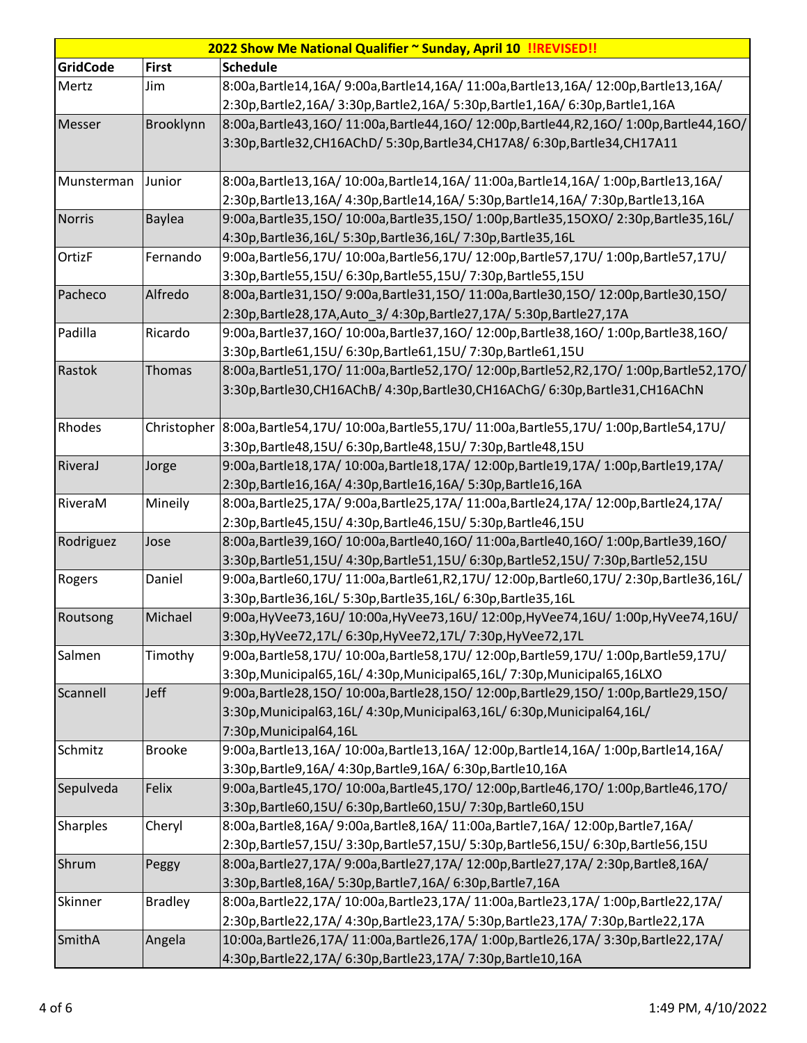| 2022 Show Me National Qualifier ~ Sunday, April 10 !! REVISED!! |                |                                                                                                       |  |
|-----------------------------------------------------------------|----------------|-------------------------------------------------------------------------------------------------------|--|
| <b>GridCode</b>                                                 | <b>First</b>   | <b>Schedule</b>                                                                                       |  |
| Mertz                                                           | Jim            | 8:00a,Bartle14,16A/9:00a,Bartle14,16A/11:00a,Bartle13,16A/12:00p,Bartle13,16A/                        |  |
|                                                                 |                | 2:30p,Bartle2,16A/ 3:30p,Bartle2,16A/ 5:30p,Bartle1,16A/ 6:30p,Bartle1,16A                            |  |
| Messer                                                          | Brooklynn      | 8:00a,Bartle43,16O/11:00a,Bartle44,16O/12:00p,Bartle44,R2,16O/1:00p,Bartle44,16O/                     |  |
|                                                                 |                | 3:30p, Bartle 32, CH16AChD/ 5:30p, Bartle 34, CH17A8/ 6:30p, Bartle 34, CH17A11                       |  |
|                                                                 |                |                                                                                                       |  |
| Munsterman                                                      | Junior         | 8:00a,Bartle13,16A/10:00a,Bartle14,16A/11:00a,Bartle14,16A/1:00p,Bartle13,16A/                        |  |
|                                                                 |                | 2:30p,Bartle13,16A/ 4:30p,Bartle14,16A/ 5:30p,Bartle14,16A/ 7:30p,Bartle13,16A                        |  |
| <b>Norris</b>                                                   | Baylea         | 9:00a,Bartle35,15O/10:00a,Bartle35,15O/1:00p,Bartle35,15OXO/2:30p,Bartle35,16L/                       |  |
|                                                                 |                | 4:30p,Bartle36,16L/ 5:30p,Bartle36,16L/ 7:30p,Bartle35,16L                                            |  |
| OrtizF                                                          | Fernando       | 9:00a,Bartle56,17U/10:00a,Bartle56,17U/12:00p,Bartle57,17U/1:00p,Bartle57,17U/                        |  |
|                                                                 |                | 3:30p,Bartle55,15U/ 6:30p,Bartle55,15U/ 7:30p,Bartle55,15U                                            |  |
| Pacheco                                                         | Alfredo        | 8:00a,Bartle31,15O/9:00a,Bartle31,15O/11:00a,Bartle30,15O/12:00p,Bartle30,15O/                        |  |
|                                                                 |                | 2:30p, Bartle 28, 17A, Auto_3/ 4:30p, Bartle 27, 17A / 5:30p, Bartle 27, 17A                          |  |
| Padilla                                                         | Ricardo        | 9:00a,Bartle37,16O/10:00a,Bartle37,16O/12:00p,Bartle38,16O/1:00p,Bartle38,16O/                        |  |
|                                                                 |                | 3:30p,Bartle61,15U/ 6:30p,Bartle61,15U/ 7:30p,Bartle61,15U                                            |  |
| Rastok                                                          | <b>Thomas</b>  | 8:00a,Bartle51,17O/11:00a,Bartle52,17O/12:00p,Bartle52,R2,17O/1:00p,Bartle52,17O/                     |  |
|                                                                 |                | 3:30p,Bartle30,CH16AChB/ 4:30p,Bartle30,CH16AChG/ 6:30p,Bartle31,CH16AChN                             |  |
|                                                                 |                |                                                                                                       |  |
| Rhodes                                                          |                | Christopher 8:00a, Bartle54,17U/ 10:00a, Bartle55,17U/ 11:00a, Bartle55,17U/ 1:00p, Bartle54,17U/     |  |
|                                                                 |                | 3:30p, Bartle48, 15U/ 6:30p, Bartle48, 15U/ 7:30p, Bartle48, 15U                                      |  |
| RiveraJ                                                         | Jorge          | 9:00a,Bartle18,17A/10:00a,Bartle18,17A/12:00p,Bartle19,17A/1:00p,Bartle19,17A/                        |  |
|                                                                 |                | 2:30p, Bartle 16, 16A/ 4:30p, Bartle 16, 16A/ 5:30p, Bartle 16, 16A                                   |  |
| RiveraM                                                         | Mineily        | 8:00a,Bartle25,17A/9:00a,Bartle25,17A/11:00a,Bartle24,17A/12:00p,Bartle24,17A/                        |  |
|                                                                 |                | 2:30p,Bartle45,15U/ 4:30p,Bartle46,15U/ 5:30p,Bartle46,15U                                            |  |
| Rodriguez                                                       | Jose           | 8:00a,Bartle39,16O/10:00a,Bartle40,16O/11:00a,Bartle40,16O/1:00p,Bartle39,16O/                        |  |
|                                                                 |                | 3:30p,Bartle51,15U/4:30p,Bartle51,15U/6:30p,Bartle52,15U/7:30p,Bartle52,15U                           |  |
| Rogers                                                          | Daniel         | 9:00a,Bartle60,17U/11:00a,Bartle61,R2,17U/12:00p,Bartle60,17U/2:30p,Bartle36,16L/                     |  |
|                                                                 |                | 3:30p,Bartle36,16L/ 5:30p,Bartle35,16L/ 6:30p,Bartle35,16L                                            |  |
| Routsong                                                        | Michael        | 9:00a, HyVee73,16U/10:00a, HyVee73,16U/12:00p, HyVee74,16U/1:00p, HyVee74,16U/                        |  |
|                                                                 |                | 3:30p, HyVee 72, 17L/ 6:30p, HyVee 72, 17L/ 7:30p, HyVee 72, 17L                                      |  |
| Salmen                                                          | Timothy        | 9:00a,Bartle58,17U/10:00a,Bartle58,17U/12:00p,Bartle59,17U/1:00p,Bartle59,17U/                        |  |
| Scannell                                                        | Jeff           | 3:30p, Municipal65, 16L/ 4:30p, Municipal65, 16L/ 7:30p, Municipal65, 16LXO                           |  |
|                                                                 |                | 9:00a,Bartle28,15O/10:00a,Bartle28,15O/12:00p,Bartle29,15O/1:00p,Bartle29,15O/                        |  |
|                                                                 |                | 3:30p, Municipal63, 16L/ 4:30p, Municipal63, 16L/ 6:30p, Municipal64, 16L/<br>7:30p, Municipal64, 16L |  |
| Schmitz                                                         | <b>Brooke</b>  | 9:00a,Bartle13,16A/10:00a,Bartle13,16A/12:00p,Bartle14,16A/1:00p,Bartle14,16A/                        |  |
|                                                                 |                | 3:30p,Bartle9,16A/ 4:30p,Bartle9,16A/ 6:30p,Bartle10,16A                                              |  |
| Sepulveda                                                       | Felix          | 9:00a,Bartle45,17O/10:00a,Bartle45,17O/12:00p,Bartle46,17O/1:00p,Bartle46,17O/                        |  |
|                                                                 |                | 3:30p,Bartle60,15U/ 6:30p,Bartle60,15U/ 7:30p,Bartle60,15U                                            |  |
| <b>Sharples</b>                                                 | Cheryl         | 8:00a,Bartle8,16A/ 9:00a,Bartle8,16A/ 11:00a,Bartle7,16A/ 12:00p,Bartle7,16A/                         |  |
|                                                                 |                | 2:30p,Bartle57,15U/3:30p,Bartle57,15U/5:30p,Bartle56,15U/6:30p,Bartle56,15U                           |  |
| Shrum                                                           | Peggy          | 8:00a,Bartle27,17A/9:00a,Bartle27,17A/12:00p,Bartle27,17A/2:30p,Bartle8,16A/                          |  |
|                                                                 |                | 3:30p, Bartle 8, 16A / 5:30p, Bartle 7, 16A / 6:30p, Bartle 7, 16A                                    |  |
| Skinner                                                         | <b>Bradley</b> | 8:00a,Bartle22,17A/10:00a,Bartle23,17A/11:00a,Bartle23,17A/1:00p,Bartle22,17A/                        |  |
|                                                                 |                | 2:30p,Bartle22,17A/ 4:30p,Bartle23,17A/ 5:30p,Bartle23,17A/ 7:30p,Bartle22,17A                        |  |
| SmithA                                                          | Angela         | 10:00a,Bartle26,17A/ 11:00a,Bartle26,17A/ 1:00p,Bartle26,17A/ 3:30p,Bartle22,17A/                     |  |
|                                                                 |                | 4:30p,Bartle22,17A/ 6:30p,Bartle23,17A/ 7:30p,Bartle10,16A                                            |  |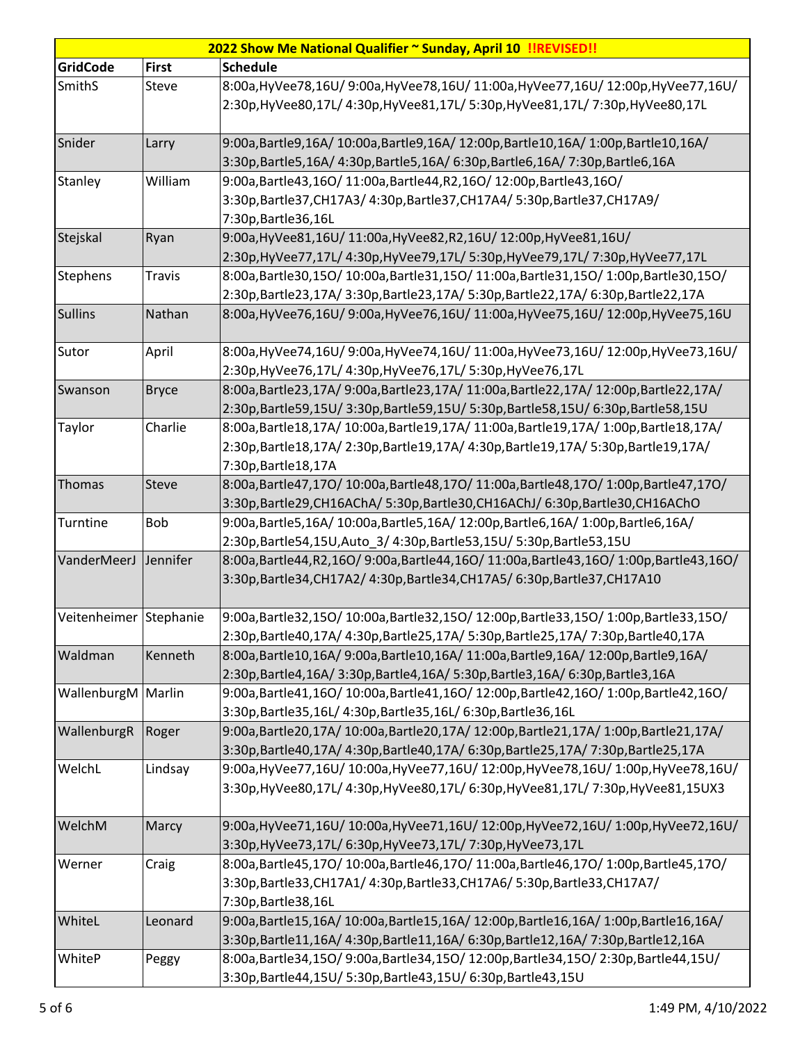|                        | 2022 Show Me National Qualifier ~ Sunday, April 10 !!REVISED!! |                                                                                       |  |  |
|------------------------|----------------------------------------------------------------|---------------------------------------------------------------------------------------|--|--|
| <b>GridCode</b>        | <b>First</b>                                                   | <b>Schedule</b>                                                                       |  |  |
| SmithS                 | <b>Steve</b>                                                   | 8:00a, HyVee78, 16U/ 9:00a, HyVee78, 16U/ 11:00a, HyVee77, 16U/ 12:00p, HyVee77, 16U/ |  |  |
|                        |                                                                | 2:30p, HyVee80, 17L/ 4:30p, HyVee81, 17L/ 5:30p, HyVee81, 17L/ 7:30p, HyVee80, 17L    |  |  |
|                        |                                                                |                                                                                       |  |  |
| Snider                 | Larry                                                          | 9:00a,Bartle9,16A/10:00a,Bartle9,16A/12:00p,Bartle10,16A/1:00p,Bartle10,16A/          |  |  |
|                        |                                                                | 3:30p,Bartle5,16A/ 4:30p,Bartle5,16A/ 6:30p,Bartle6,16A/ 7:30p,Bartle6,16A            |  |  |
| Stanley                | William                                                        | 9:00a, Bartle43, 16O/ 11:00a, Bartle44, R2, 16O/ 12:00p, Bartle43, 16O/               |  |  |
|                        |                                                                | 3:30p,Bartle37,CH17A3/ 4:30p,Bartle37,CH17A4/ 5:30p,Bartle37,CH17A9/                  |  |  |
|                        |                                                                | 7:30p, Bartle 36, 16L                                                                 |  |  |
| Stejskal               | Ryan                                                           | 9:00a, HyVee81, 16U/ 11:00a, HyVee82, R2, 16U/ 12:00p, HyVee81, 16U/                  |  |  |
|                        |                                                                | 2:30p,HyVee77,17L/ 4:30p,HyVee79,17L/ 5:30p,HyVee79,17L/ 7:30p,HyVee77,17L            |  |  |
| <b>Stephens</b>        | <b>Travis</b>                                                  | 8:00a,Bartle30,15O/10:00a,Bartle31,15O/11:00a,Bartle31,15O/1:00p,Bartle30,15O/        |  |  |
|                        |                                                                | 2:30p,Bartle23,17A/3:30p,Bartle23,17A/5:30p,Bartle22,17A/6:30p,Bartle22,17A           |  |  |
| <b>Sullins</b>         | Nathan                                                         | 8:00a,HyVee76,16U/9:00a,HyVee76,16U/11:00a,HyVee75,16U/12:00p,HyVee75,16U             |  |  |
|                        |                                                                |                                                                                       |  |  |
| Sutor                  | April                                                          | 8:00a, HyVee74,16U/9:00a, HyVee74,16U/11:00a, HyVee73,16U/12:00p, HyVee73,16U/        |  |  |
|                        |                                                                | 2:30p, HyVee 76, 17L/ 4:30p, HyVee 76, 17L/ 5:30p, HyVee 76, 17L                      |  |  |
| Swanson                | <b>Bryce</b>                                                   | 8:00a,Bartle23,17A/9:00a,Bartle23,17A/11:00a,Bartle22,17A/12:00p,Bartle22,17A/        |  |  |
|                        |                                                                | 2:30p,Bartle59,15U/3:30p,Bartle59,15U/5:30p,Bartle58,15U/6:30p,Bartle58,15U           |  |  |
| Taylor                 | Charlie                                                        | 8:00a,Bartle18,17A/ 10:00a,Bartle19,17A/ 11:00a,Bartle19,17A/ 1:00p,Bartle18,17A/     |  |  |
|                        |                                                                | 2:30p,Bartle18,17A/2:30p,Bartle19,17A/4:30p,Bartle19,17A/5:30p,Bartle19,17A/          |  |  |
|                        |                                                                | 7:30p, Bartle 18, 17A                                                                 |  |  |
| <b>Thomas</b>          | Steve                                                          | 8:00a,Bartle47,17O/10:00a,Bartle48,17O/11:00a,Bartle48,17O/1:00p,Bartle47,17O/        |  |  |
|                        |                                                                | 3:30p,Bartle29,CH16AChA/5:30p,Bartle30,CH16AChJ/6:30p,Bartle30,CH16AChO               |  |  |
| Turntine               | <b>Bob</b>                                                     | 9:00a, Bartle5, 16A/ 10:00a, Bartle5, 16A/ 12:00p, Bartle6, 16A/ 1:00p, Bartle6, 16A/ |  |  |
|                        |                                                                | 2:30p, Bartle 54, 15U, Auto_3/4:30p, Bartle 53, 15U / 5:30p, Bartle 53, 15U           |  |  |
| VanderMeerJ            | Jennifer                                                       | 8:00a,Bartle44,R2,16O/9:00a,Bartle44,16O/11:00a,Bartle43,16O/1:00p,Bartle43,16O/      |  |  |
|                        |                                                                | 3:30p,Bartle34,CH17A2/ 4:30p,Bartle34,CH17A5/ 6:30p,Bartle37,CH17A10                  |  |  |
|                        |                                                                |                                                                                       |  |  |
| Veitenheimer Stephanie |                                                                | 9:00a,Bartle32,15O/10:00a,Bartle32,15O/12:00p,Bartle33,15O/1:00p,Bartle33,15O/        |  |  |
|                        |                                                                | 2:30p,Bartle40,17A/ 4:30p,Bartle25,17A/ 5:30p,Bartle25,17A/ 7:30p,Bartle40,17A        |  |  |
| Waldman                | Kenneth                                                        | 8:00a,Bartle10,16A/9:00a,Bartle10,16A/11:00a,Bartle9,16A/12:00p,Bartle9,16A/          |  |  |
|                        |                                                                | 2:30p,Bartle4,16A/ 3:30p,Bartle4,16A/ 5:30p,Bartle3,16A/ 6:30p,Bartle3,16A            |  |  |
| WallenburgM Marlin     |                                                                | 9:00a,Bartle41,16O/10:00a,Bartle41,16O/12:00p,Bartle42,16O/1:00p,Bartle42,16O/        |  |  |
|                        |                                                                | 3:30p,Bartle35,16L/ 4:30p,Bartle35,16L/ 6:30p,Bartle36,16L                            |  |  |
| WallenburgR            | Roger                                                          | 9:00a,Bartle20,17A/10:00a,Bartle20,17A/12:00p,Bartle21,17A/1:00p,Bartle21,17A/        |  |  |
|                        |                                                                | 3:30p,Bartle40,17A/ 4:30p,Bartle40,17A/ 6:30p,Bartle25,17A/ 7:30p,Bartle25,17A        |  |  |
| WelchL                 | Lindsay                                                        | 9:00a, HyVee77, 16U/ 10:00a, HyVee77, 16U/ 12:00p, HyVee78, 16U/ 1:00p, HyVee78, 16U/ |  |  |
|                        |                                                                | 3:30p, HyVee80, 17L/ 4:30p, HyVee80, 17L/ 6:30p, HyVee81, 17L/ 7:30p, HyVee81, 15UX3  |  |  |
|                        |                                                                |                                                                                       |  |  |
| WelchM                 | Marcy                                                          | 9:00a,HyVee71,16U/10:00a,HyVee71,16U/12:00p,HyVee72,16U/1:00p,HyVee72,16U/            |  |  |
|                        |                                                                | 3:30p, HyVee 73, 17L/ 6:30p, HyVee 73, 17L/ 7:30p, HyVee 73, 17L                      |  |  |
| Werner                 | Craig                                                          | 8:00a,Bartle45,17O/10:00a,Bartle46,17O/11:00a,Bartle46,17O/1:00p,Bartle45,17O/        |  |  |
|                        |                                                                | 3:30p,Bartle33,CH17A1/4:30p,Bartle33,CH17A6/5:30p,Bartle33,CH17A7/                    |  |  |
|                        |                                                                | 7:30p, Bartle 38, 16L                                                                 |  |  |
| WhiteL                 | Leonard                                                        | 9:00a,Bartle15,16A/10:00a,Bartle15,16A/12:00p,Bartle16,16A/1:00p,Bartle16,16A/        |  |  |
|                        |                                                                | 3:30p,Bartle11,16A/ 4:30p,Bartle11,16A/ 6:30p,Bartle12,16A/ 7:30p,Bartle12,16A        |  |  |
| WhiteP                 | Peggy                                                          | 8:00a,Bartle34,15O/9:00a,Bartle34,15O/12:00p,Bartle34,15O/2:30p,Bartle44,15U/         |  |  |
|                        |                                                                | 3:30p, Bartle44, 15U/ 5:30p, Bartle43, 15U/ 6:30p, Bartle43, 15U                      |  |  |